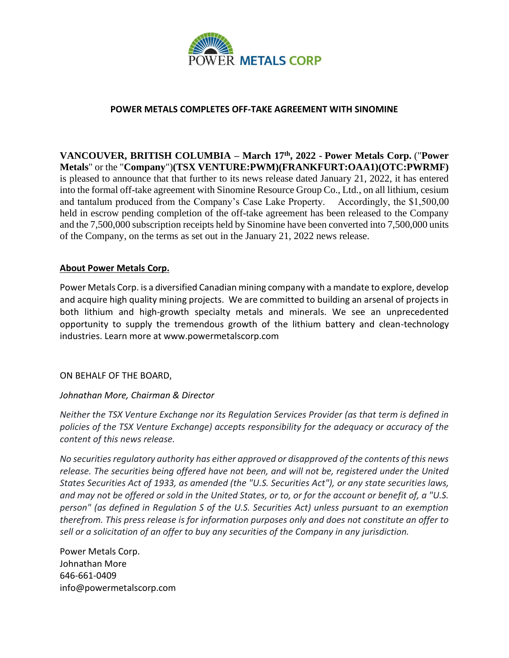

## **POWER METALS COMPLETES OFF-TAKE AGREEMENT WITH SINOMINE**

**VANCOUVER, BRITISH COLUMBIA – March 17th, 2022 - Power Metals Corp.** ("**Power Metals**" or the "**Company**")**(TSX VENTURE:PWM)(FRANKFURT:OAA1)(OTC:PWRMF)** is pleased to announce that that further to its news release dated January 21, 2022, it has entered into the formal off-take agreement with Sinomine Resource Group Co., Ltd., on all lithium, cesium and tantalum produced from the Company's Case Lake Property. Accordingly, the \$1,500,00 held in escrow pending completion of the off-take agreement has been released to the Company and the 7,500,000 subscription receipts held by Sinomine have been converted into 7,500,000 units of the Company, on the terms as set out in the January 21, 2022 news release.

## **About Power Metals Corp.**

Power Metals Corp. is a diversified Canadian mining company with a mandate to explore, develop and acquire high quality mining projects. We are committed to building an arsenal of projects in both lithium and high-growth specialty metals and minerals. We see an unprecedented opportunity to supply the tremendous growth of the lithium battery and clean-technology industries. Learn more at www.powermetalscorp.com

ON BEHALF OF THE BOARD,

## *Johnathan More, Chairman & Director*

*Neither the TSX Venture Exchange nor its Regulation Services Provider (as that term is defined in policies of the TSX Venture Exchange) accepts responsibility for the adequacy or accuracy of the content of this news release.*

*No securities regulatory authority has either approved or disapproved of the contents of this news release. The securities being offered have not been, and will not be, registered under the United States Securities Act of 1933, as amended (the "U.S. Securities Act"), or any state securities laws, and may not be offered or sold in the United States, or to, or for the account or benefit of, a "U.S. person" (as defined in Regulation S of the U.S. Securities Act) unless pursuant to an exemption therefrom. This press release is for information purposes only and does not constitute an offer to sell or a solicitation of an offer to buy any securities of the Company in any jurisdiction.*

Power Metals Corp. Johnathan More 646-661-0409 info@powermetalscorp.com